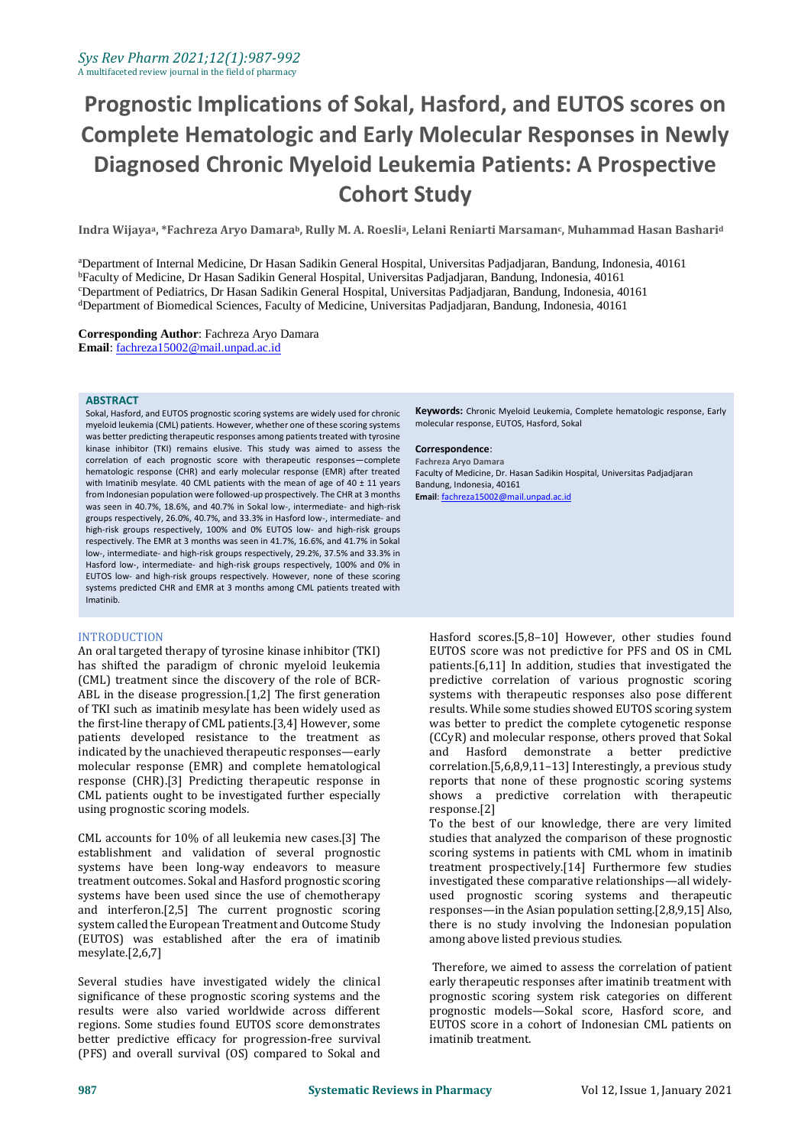# **Prognostic Implications of Sokal, Hasford, and EUTOS scores on Complete Hematologic and Early Molecular Responses in Newly Diagnosed Chronic Myeloid Leukemia Patients: A Prospective Cohort Study**

**Indra Wijayaa, \*Fachreza Aryo Damarab, Rully M. A. Roeslia, Lelani Reniarti Marsamanc, Muhammad Hasan Bashari<sup>d</sup>**

<sup>a</sup>Department of Internal Medicine, Dr Hasan Sadikin General Hospital, Universitas Padjadjaran, Bandung, Indonesia, 40161 <sup>b</sup>Faculty of Medicine, Dr Hasan Sadikin General Hospital, Universitas Padjadjaran, Bandung, Indonesia, 40161 <sup>c</sup>Department of Pediatrics, Dr Hasan Sadikin General Hospital, Universitas Padjadjaran, Bandung, Indonesia, 40161 <sup>d</sup>Department of Biomedical Sciences, Faculty of Medicine, Universitas Padjadjaran, Bandung, Indonesia, 40161

**Corresponding Author**: Fachreza Aryo Damara **Email**[: fachreza15002@mail.unpad.ac.id](mailto:fachreza15002@mail.unpad.ac.id)

#### **ABSTRACT**

Sokal, Hasford, and EUTOS prognostic scoring systems are widely used for chronic myeloid leukemia (CML) patients. However, whether one of these scoring systems was better predicting therapeutic responses among patients treated with tyrosine kinase inhibitor (TKI) remains elusive. This study was aimed to assess the correlation of each prognostic score with therapeutic responses—complete hematologic response (CHR) and early molecular response (EMR) after treated with Imatinib mesylate. 40 CML patients with the mean of age of 40  $\pm$  11 years from Indonesian population were followed-up prospectively. The CHR at 3 months was seen in 40.7%, 18.6%, and 40.7% in Sokal low-, intermediate- and high-risk groups respectively, 26.0%, 40.7%, and 33.3% in Hasford low-, intermediate- and high-risk groups respectively, 100% and 0% EUTOS low- and high-risk groups respectively. The EMR at 3 months was seen in 41.7%, 16.6%, and 41.7% in Sokal low-, intermediate- and high-risk groups respectively, 29.2%, 37.5% and 33.3% in Hasford low-, intermediate- and high-risk groups respectively, 100% and 0% in EUTOS low- and high-risk groups respectively. However, none of these scoring systems predicted CHR and EMR at 3 months among CML patients treated with Imatinib.

#### **INTRODUCTION**

An oral targeted therapy of tyrosine kinase inhibitor (TKI) has shifted the paradigm of chronic myeloid leukemia (CML) treatment since the discovery of the role of BCR-ABL in the disease progression.[1,2] The first generation of TKI such as imatinib mesylate has been widely used as the first-line therapy of CML patients.[3,4] However, some patients developed resistance to the treatment as indicated by the unachieved therapeutic responses—early molecular response (EMR) and complete hematological response (CHR).[3] Predicting therapeutic response in CML patients ought to be investigated further especially using prognostic scoring models.

CML accounts for 10% of all leukemia new cases.[3] The establishment and validation of several prognostic systems have been long-way endeavors to measure treatment outcomes. Sokal and Hasford prognostic scoring systems have been used since the use of chemotherapy and interferon.[2,5] The current prognostic scoring system called the European Treatment and Outcome Study (EUTOS) was established after the era of imatinib mesylate.[2,6,7]

Several studies have investigated widely the clinical significance of these prognostic scoring systems and the results were also varied worldwide across different regions. Some studies found EUTOS score demonstrates better predictive efficacy for progression-free survival (PFS) and overall survival (OS) compared to Sokal and **Keywords:** Chronic Myeloid Leukemia, Complete hematologic response, Early molecular response, EUTOS, Hasford, Sokal

#### **Correspondence**:

**Fachreza Aryo Damara** Faculty of Medicine, Dr. Hasan Sadikin Hospital, Universitas Padjadjaran Bandung, Indonesia, 40161 **Email**[: fachreza15002@mail.unpad.ac.id](mailto:fachreza15002@mail.unpad.ac.id)

Hasford scores.[5,8–10] However, other studies found EUTOS score was not predictive for PFS and OS in CML patients.[6,11] In addition, studies that investigated the predictive correlation of various prognostic scoring systems with therapeutic responses also pose different results. While some studies showed EUTOS scoring system was better to predict the complete cytogenetic response (CCyR) and molecular response, others proved that Sokal and Hasford demonstrate a better predictive correlation.[5,6,8,9,11–13] Interestingly, a previous study reports that none of these prognostic scoring systems shows a predictive correlation with therapeutic response.[2]

To the best of our knowledge, there are very limited studies that analyzed the comparison of these prognostic scoring systems in patients with CML whom in imatinib treatment prospectively.[14] Furthermore few studies investigated these comparative relationships—all widelyused prognostic scoring systems and therapeutic responses—in the Asian population setting.[2,8,9,15] Also, there is no study involving the Indonesian population among above listed previous studies.

Therefore, we aimed to assess the correlation of patient early therapeutic responses after imatinib treatment with prognostic scoring system risk categories on different prognostic models—Sokal score, Hasford score, and EUTOS score in a cohort of Indonesian CML patients on imatinib treatment.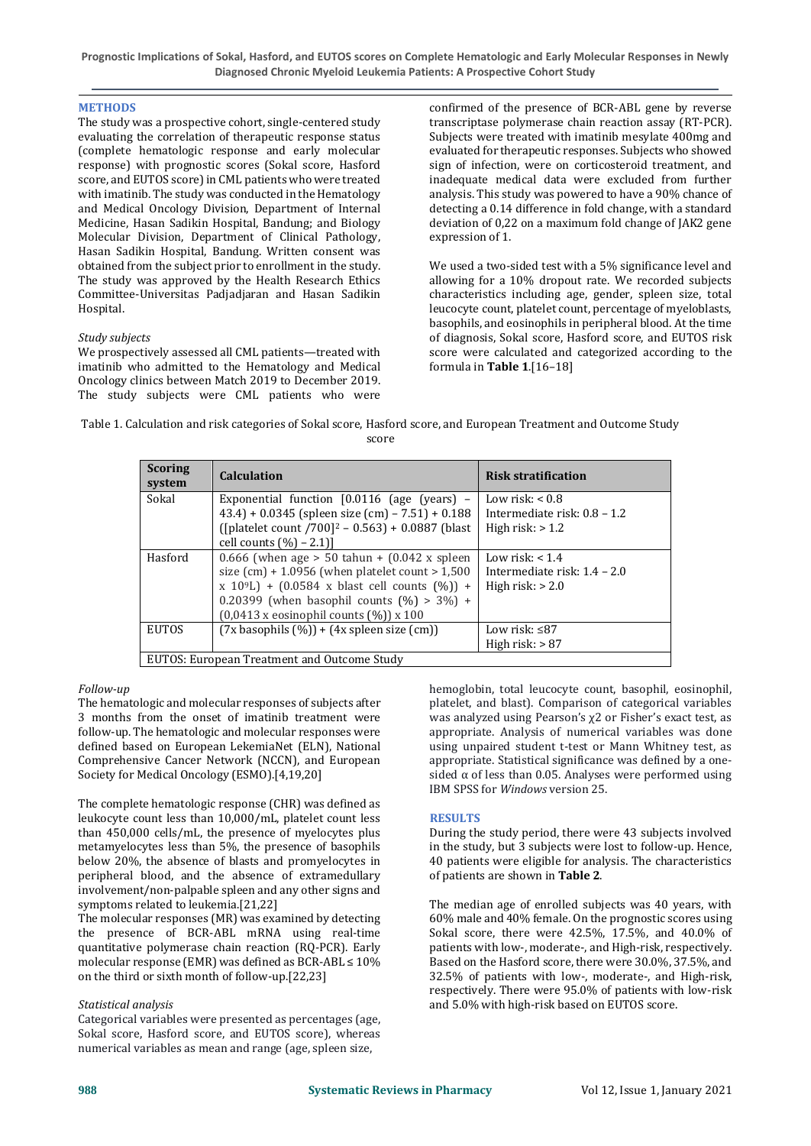**Prognostic Implications of Sokal, Hasford, and EUTOS scores on Complete Hematologic and Early Molecular Responses in Newly Diagnosed Chronic Myeloid Leukemia Patients: A Prospective Cohort Study** 

## **METHODS**

The study was a prospective cohort, single-centered study evaluating the correlation of therapeutic response status (complete hematologic response and early molecular response) with prognostic scores (Sokal score, Hasford score, and EUTOS score) in CML patients who were treated with imatinib. The study was conducted in the Hematology and Medical Oncology Division, Department of Internal Medicine, Hasan Sadikin Hospital, Bandung; and Biology Molecular Division, Department of Clinical Pathology, Hasan Sadikin Hospital, Bandung. Written consent was obtained from the subject prior to enrollment in the study. The study was approved by the Health Research Ethics Committee-Universitas Padjadjaran and Hasan Sadikin Hospital.

## *Study subjects*

We prospectively assessed all CML patients—treated with imatinib who admitted to the Hematology and Medical Oncology clinics between Match 2019 to December 2019. The study subjects were CML patients who were confirmed of the presence of BCR-ABL gene by reverse transcriptase polymerase chain reaction assay (RT-PCR). Subjects were treated with imatinib mesylate 400mg and evaluated for therapeutic responses. Subjects who showed sign of infection, were on corticosteroid treatment, and inadequate medical data were excluded from further analysis. This study was powered to have a 90% chance of detecting a 0.14 difference in fold change, with a standard deviation of 0,22 on a maximum fold change of JAK2 gene expression of 1.

We used a two-sided test with a 5% significance level and allowing for a 10% dropout rate. We recorded subjects characteristics including age, gender, spleen size, total leucocyte count, platelet count, percentage of myeloblasts, basophils, and eosinophils in peripheral blood. At the time of diagnosis, Sokal score, Hasford score, and EUTOS risk score were calculated and categorized according to the formula in **Table 1**.[16–18]

| Table 1. Calculation and risk categories of Sokal score, Hasford score, and European Treatment and Outcome Study |       |  |  |
|------------------------------------------------------------------------------------------------------------------|-------|--|--|
|                                                                                                                  | score |  |  |

| <b>Scoring</b><br>system                    | <b>Calculation</b>                                               | <b>Risk stratification</b>     |  |
|---------------------------------------------|------------------------------------------------------------------|--------------------------------|--|
| Sokal                                       | Exponential function [0.0116 (age (years) -                      | Low risk: $< 0.8$              |  |
|                                             | $43.4$ ) + 0.0345 (spleen size (cm) - 7.51) + 0.188              | Intermediate risk: $0.8 - 1.2$ |  |
|                                             | ([platelet count $/700$ ] <sup>2</sup> – 0.563) + 0.0887 (blast) | High risk: $> 1.2$             |  |
|                                             | cell counts $(\% ) - 2.1$ ]                                      |                                |  |
| Hasford                                     | 0.666 (when age $> 50$ tahun + (0.042 x spleen                   | Low risk: $< 1.4$              |  |
|                                             | size $(cm) + 1.0956$ (when platelet count > 1,500)               | Intermediate risk: $1.4 - 2.0$ |  |
|                                             | $x 10^{9}$ L) + (0.0584 x blast cell counts (%)) +               | High risk: $> 2.0$             |  |
|                                             | 0.20399 (when basophil counts $(\%)>3\%) +$                      |                                |  |
|                                             | $(0,0413 \times$ eosinophil counts $(\%)$ ) x 100                |                                |  |
| <b>EUTOS</b>                                | $(7x$ basophils $(\%)$ + $(4x$ spleen size $(cm))$               | Low risk: $\leq$ 87            |  |
|                                             |                                                                  | High risk: $> 87$              |  |
| EUTOS: European Treatment and Outcome Study |                                                                  |                                |  |

#### *Follow-up*

The hematologic and molecular responses of subjects after 3 months from the onset of imatinib treatment were follow-up. The hematologic and molecular responses were defined based on European LekemiaNet (ELN), National Comprehensive Cancer Network (NCCN), and European Society for Medical Oncology (ESMO).[4,19,20]

The complete hematologic response (CHR) was defined as leukocyte count less than 10,000/mL, platelet count less than 450,000 cells/mL, the presence of myelocytes plus metamyelocytes less than 5%, the presence of basophils below 20%, the absence of blasts and promyelocytes in peripheral blood, and the absence of extramedullary involvement/non-palpable spleen and any other signs and symptoms related to leukemia.[21,22]

The molecular responses (MR) was examined by detecting the presence of BCR-ABL mRNA using real-time quantitative polymerase chain reaction (RQ-PCR). Early molecular response (EMR) was defined as BCR-ABL  $\leq 10\%$ on the third or sixth month of follow-up.[22,23]

## *Statistical analysis*

Categorical variables were presented as percentages (age, Sokal score, Hasford score, and EUTOS score), whereas numerical variables as mean and range (age, spleen size,

hemoglobin, total leucocyte count, basophil, eosinophil, platelet, and blast). Comparison of categorical variables was analyzed using Pearson's χ2 or Fisher's exact test, as appropriate. Analysis of numerical variables was done using unpaired student t-test or Mann Whitney test, as appropriate. Statistical significance was defined by a onesided  $\alpha$  of less than 0.05. Analyses were performed using IBM SPSS for *Windows* version 25.

## **RESULTS**

During the study period, there were 43 subjects involved in the study, but 3 subjects were lost to follow-up. Hence, 40 patients were eligible for analysis. The characteristics of patients are shown in **Table 2**.

The median age of enrolled subjects was 40 years, with 60% male and 40% female. On the prognostic scores using Sokal score, there were 42.5%, 17.5%, and 40.0% of patients with low-, moderate-, and High-risk, respectively. Based on the Hasford score, there were 30.0%, 37.5%, and 32.5% of patients with low-, moderate-, and High-risk, respectively. There were 95.0% of patients with low-risk and 5.0% with high-risk based on EUTOS score.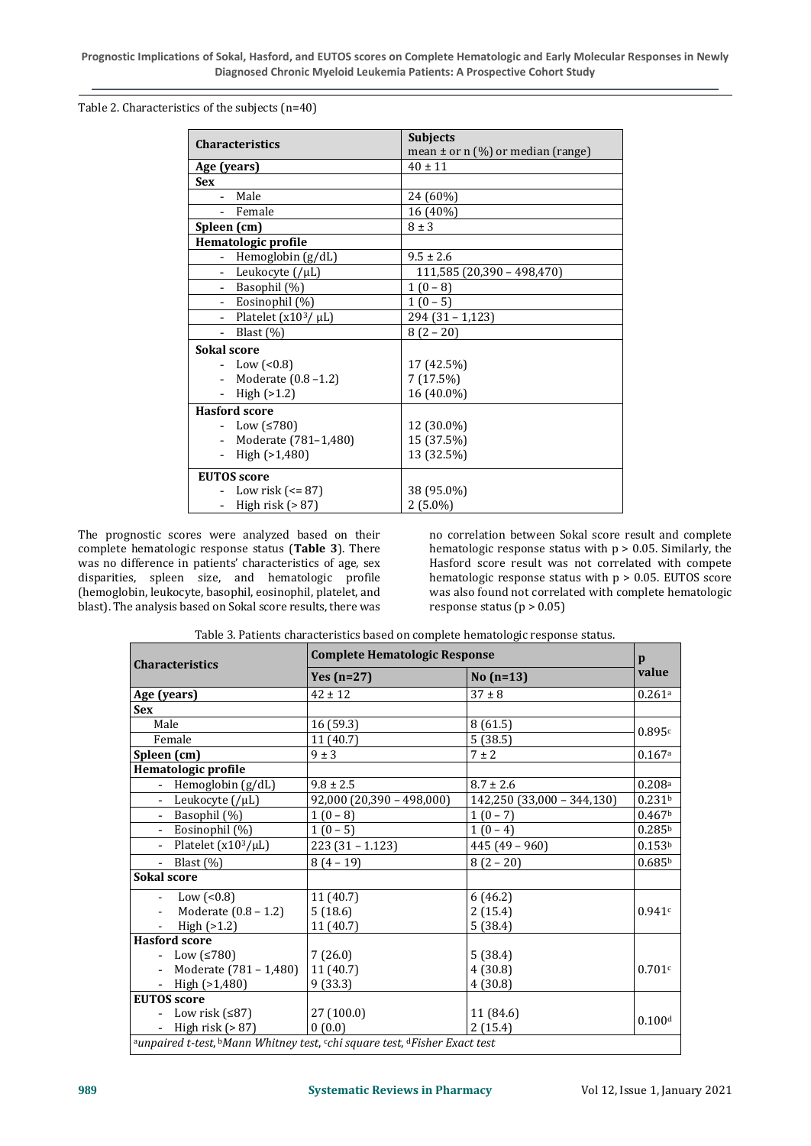Table 2. Characteristics of the subjects (n=40)

| <b>Characteristics</b>                 | <b>Subjects</b>                       |  |  |
|----------------------------------------|---------------------------------------|--|--|
|                                        | mean $\pm$ or n (%) or median (range) |  |  |
| Age (years)                            | $40 \pm 11$                           |  |  |
| <b>Sex</b>                             |                                       |  |  |
| Male                                   | 24 (60%)                              |  |  |
| - Female                               | 16 (40%)                              |  |  |
| Spleen (cm)                            | $8 \pm 3$                             |  |  |
| Hematologic profile                    |                                       |  |  |
| - Hemoglobin (g/dL)                    | $9.5 \pm 2.6$                         |  |  |
| Leukocyte (/µL)<br>$\mathcal{L}^{\pm}$ | 111,585 (20,390 - 498,470)            |  |  |
| - Basophil (%)                         | $1(0-8)$                              |  |  |
| - Eosinophil (%)                       | $1(0-5)$                              |  |  |
| - Platelet $(x10^3/\mu L)$             | $294(31 - 1,123)$                     |  |  |
| - Blast $(\%)$                         | $8(2-20)$                             |  |  |
| <b>Sokal score</b>                     |                                       |  |  |
| - Low $(0.8)$                          | 17 (42.5%)                            |  |  |
| - Moderate $(0.8 - 1.2)$               | 7(17.5%)                              |  |  |
| - High $(>1.2)$                        | 16 (40.0%)                            |  |  |
| <b>Hasford score</b>                   |                                       |  |  |
| − Low $(≤780)$                         | 12 (30.0%)                            |  |  |
| - Moderate (781-1,480)                 | 15 (37.5%)                            |  |  |
| High (>1,480)<br>$\equiv$              | 13 (32.5%)                            |  |  |
| <b>EUTOS</b> score                     |                                       |  |  |
| Low risk ( $\leq$ = 87)                | 38 (95.0%)                            |  |  |
| - High risk $(>87)$                    | $2(5.0\%)$                            |  |  |

The prognostic scores were analyzed based on their complete hematologic response status (**Table 3**). There was no difference in patients' characteristics of age, sex disparities, spleen size, and hematologic profile (hemoglobin, leukocyte, basophil, eosinophil, platelet, and blast). The analysis based on Sokal score results, there was

no correlation between Sokal score result and complete hematologic response status with  $p > 0.05$ . Similarly, the Hasford score result was not correlated with compete hematologic response status with p > 0.05. EUTOS score was also found not correlated with complete hematologic response status ( $p > 0.05$ )

| <b>Characteristics</b>                                                     | <b>Complete Hematologic Response</b> |                            |                    |  |
|----------------------------------------------------------------------------|--------------------------------------|----------------------------|--------------------|--|
|                                                                            | Yes $(n=27)$                         | No $(n=13)$                | value              |  |
| Age (years)                                                                | $42 \pm 12$                          | $37 \pm 8$                 | 0.261a             |  |
| <b>Sex</b>                                                                 |                                      |                            |                    |  |
| Male                                                                       | 16 (59.3)                            | 8(61.5)                    | 0.895c             |  |
| Female                                                                     | 11 (40.7)                            | 5(38.5)                    |                    |  |
| Spleen (cm)                                                                | $9 \pm 3$                            | $7 \pm 2$                  | 0.167a             |  |
| Hematologic profile                                                        |                                      |                            |                    |  |
| - Hemoglobin (g/dL)                                                        | $9.8 \pm 2.5$                        | $8.7 \pm 2.6$              | 0.208 <sup>a</sup> |  |
| - Leukocyte $($ / $\mu$ L)                                                 | $92,000$ (20,390 - 498,000)          | 142,250 (33,000 - 344,130) | 0.231 <sup>b</sup> |  |
| - Basophil (%)                                                             | $1(0-8)$                             | $1(0-7)$                   | 0.467 <sup>b</sup> |  |
| - Eosinophil (%)                                                           | $1(0-5)$                             | $1(0-4)$                   | 0.285 <sup>b</sup> |  |
| - Platelet $(x10^3/\mu L)$                                                 | $223(31 - 1.123)$                    | $445(49 - 960)$            | 0.153 <sup>b</sup> |  |
| - Blast $(\%)$                                                             | $8(4-19)$                            | $8(2-20)$                  | 0.685 <sup>b</sup> |  |
| <b>Sokal score</b>                                                         |                                      |                            |                    |  |
| Low $(0.8)$                                                                | 11(40.7)                             | 6(46.2)                    |                    |  |
| Moderate (0.8 - 1.2)                                                       | 5(18.6)                              | 2(15.4)                    | 0.941c             |  |
| High $(>1.2)$<br>$\blacksquare$                                            | 11 (40.7)                            | 5(38.4)                    |                    |  |
| <b>Hasford score</b>                                                       |                                      |                            |                    |  |
| - Low $≤780$ )                                                             | 7(26.0)                              | 5(38.4)                    |                    |  |
| Moderate (781 – 1,480)                                                     | 11(40.7)                             | 4(30.8)                    | 0.701c             |  |
| - High $(>1,480)$                                                          | 9(33.3)                              | 4(30.8)                    |                    |  |
| <b>EUTOS</b> score                                                         |                                      |                            |                    |  |
| - Low risk $(≤87)$                                                         | 27(100.0)                            | 11 (84.6)                  | 0.100d             |  |
| - High risk $(> 87)$                                                       | 0(0.0)                               | 2(15.4)                    |                    |  |
| aunpaired t-test, bMann Whitney test, cchi square test, dFisher Exact test |                                      |                            |                    |  |

Table 3. Patients characteristics based on complete hematologic response status.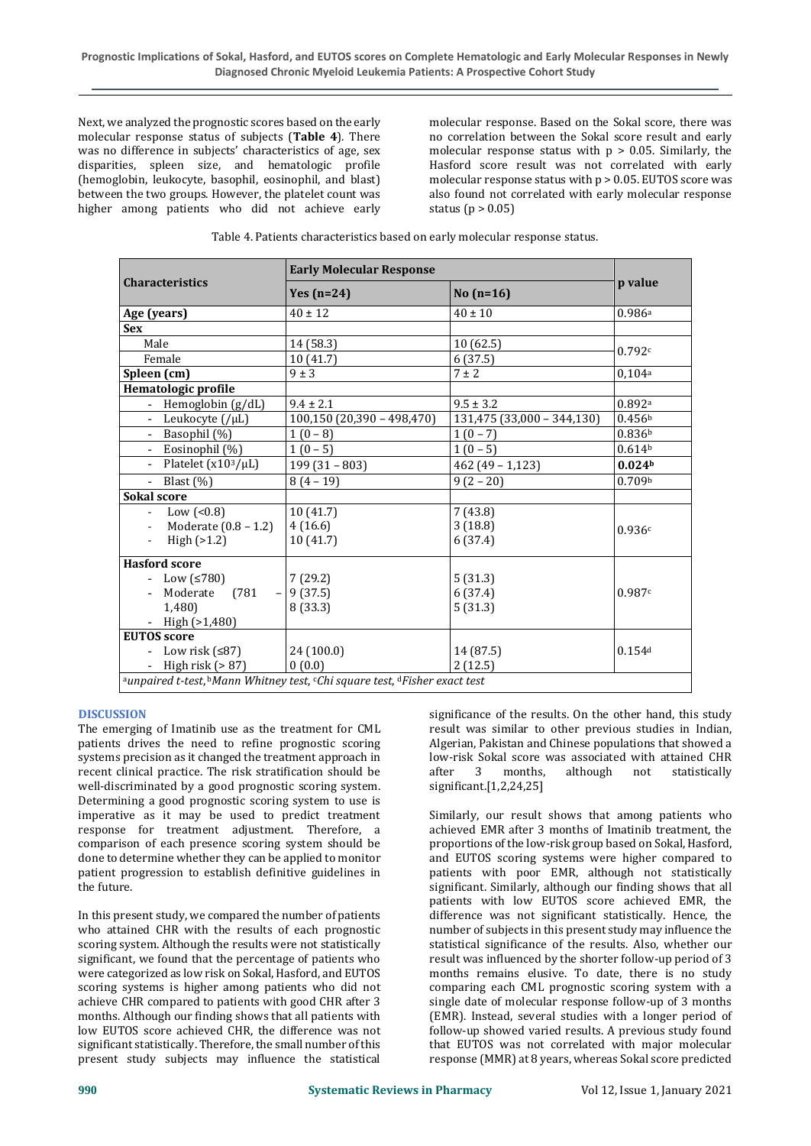Next, we analyzed the prognostic scores based on the early molecular response status of subjects (**Table 4**). There was no difference in subjects' characteristics of age, sex disparities, spleen size, and hematologic profile (hemoglobin, leukocyte, basophil, eosinophil, and blast) between the two groups. However, the platelet count was higher among patients who did not achieve early

molecular response. Based on the Sokal score, there was no correlation between the Sokal score result and early molecular response status with  $p > 0.05$ . Similarly, the Hasford score result was not correlated with early molecular response status with p > 0.05. EUTOS score was also found not correlated with early molecular response status ( $p > 0.05$ )

|                                                                            | <b>Early Molecular Response</b> |                            |                    |  |
|----------------------------------------------------------------------------|---------------------------------|----------------------------|--------------------|--|
| <b>Characteristics</b>                                                     | Yes $(n=24)$                    | No $(n=16)$                | p value            |  |
| Age (years)                                                                | $40 \pm 12$                     | $40 \pm 10$                | 0.986a             |  |
| <b>Sex</b>                                                                 |                                 |                            |                    |  |
| Male                                                                       | 14 (58.3)                       | 10 (62.5)                  | 0.792c             |  |
| Female                                                                     | 10(41.7)                        | 6(37.5)                    |                    |  |
| Spleen (cm)                                                                | $9 \pm 3$                       | $7 \pm 2$                  | 0,104a             |  |
| Hematologic profile                                                        |                                 |                            |                    |  |
| - Hemoglobin (g/dL)                                                        | $9.4 \pm 2.1$                   | $9.5 \pm 3.2$              | 0.892a             |  |
| - Leukocyte $($ / $\mu$ L)                                                 | $100,150$ (20,390 - 498,470)    | 131,475 (33,000 - 344,130) | 0.456 <sup>b</sup> |  |
| Basophil (%)<br>$\sim 10^{-1}$                                             | $1(0-8)$                        | $1(0-7)$                   | 0.836 <sup>b</sup> |  |
| - Eosinophil (%)                                                           | $1(0-5)$                        | $1(0-5)$                   | 0.614 <sup>b</sup> |  |
| - Platelet $(x10^3/\mu L)$                                                 | $199(31 - 803)$                 | $462(49 - 1,123)$          | 0.024 <sub>b</sub> |  |
| - Blast $(\%)$                                                             | $8(4-19)$                       | $9(2-20)$                  | 0.709 <sub>b</sub> |  |
| <b>Sokal score</b>                                                         |                                 |                            |                    |  |
| - Low $($ < 0.8)                                                           | 10(41.7)                        | 7(43.8)                    |                    |  |
| Moderate (0.8 – 1.2)<br>$\sim 100$                                         | 4(16.6)                         | 3(18.8)                    | 0.936c             |  |
| High $(>1.2)$                                                              | 10(41.7)                        | 6(37.4)                    |                    |  |
| <b>Hasford score</b>                                                       |                                 |                            |                    |  |
| - Low $(≤780)$                                                             | 7(29.2)                         | 5(31.3)                    |                    |  |
| Moderate (781 - 9 (37.5)                                                   |                                 | 6(37.4)                    | 0.987c             |  |
| 1,480)                                                                     | 8 (33.3)                        | 5(31.3)                    |                    |  |
| - High $(>1,480)$                                                          |                                 |                            |                    |  |
| <b>EUTOS</b> score                                                         |                                 |                            |                    |  |
| - Low risk $(\leq 87)$                                                     | 24 (100.0)                      | 14 (87.5)                  | 0.154d             |  |
| - High risk $(> 87)$                                                       | 0(0.0)                          | 2(12.5)                    |                    |  |
| aunpaired t-test, bMann Whitney test, cChi square test, dFisher exact test |                                 |                            |                    |  |

#### **DISCUSSION**

The emerging of Imatinib use as the treatment for CML patients drives the need to refine prognostic scoring systems precision as it changed the treatment approach in recent clinical practice. The risk stratification should be well-discriminated by a good prognostic scoring system. Determining a good prognostic scoring system to use is imperative as it may be used to predict treatment response for treatment adjustment. Therefore, a comparison of each presence scoring system should be done to determine whether they can be applied to monitor patient progression to establish definitive guidelines in the future.

In this present study, we compared the number of patients who attained CHR with the results of each prognostic scoring system. Although the results were not statistically significant, we found that the percentage of patients who were categorized as low risk on Sokal, Hasford, and EUTOS scoring systems is higher among patients who did not achieve CHR compared to patients with good CHR after 3 months. Although our finding shows that all patients with low EUTOS score achieved CHR, the difference was not significant statistically. Therefore, the small number of this present study subjects may influence the statistical

significance of the results. On the other hand, this study result was similar to other previous studies in Indian, Algerian, Pakistan and Chinese populations that showed a low-risk Sokal score was associated with attained CHR after 3 months, although not statistically significant.[1,2,24,25]

Similarly, our result shows that among patients who achieved EMR after 3 months of Imatinib treatment, the proportions of the low-risk group based on Sokal, Hasford, and EUTOS scoring systems were higher compared to patients with poor EMR, although not statistically significant. Similarly, although our finding shows that all patients with low EUTOS score achieved EMR, the difference was not significant statistically. Hence, the number of subjects in this present study may influence the statistical significance of the results. Also, whether our result was influenced by the shorter follow-up period of 3 months remains elusive. To date, there is no study comparing each CML prognostic scoring system with a single date of molecular response follow-up of 3 months (EMR). Instead, several studies with a longer period of follow-up showed varied results. A previous study found that EUTOS was not correlated with major molecular response (MMR) at 8 years, whereas Sokal score predicted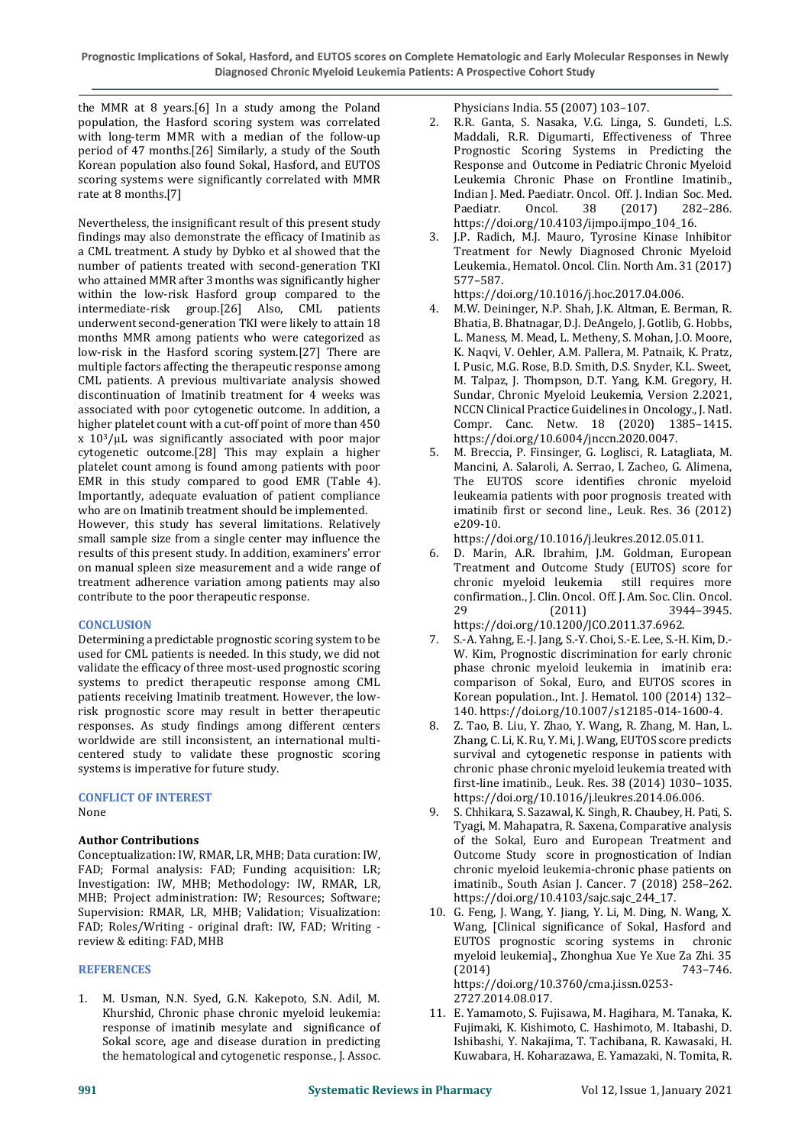**Prognostic Implications of Sokal, Hasford, and EUTOS scores on Complete Hematologic and Early Molecular Responses in Newly Diagnosed Chronic Myeloid Leukemia Patients: A Prospective Cohort Study** 

the MMR at 8 years.[6] In a study among the Poland population, the Hasford scoring system was correlated with long-term MMR with a median of the follow-up period of 47 months.[26] Similarly, a study of the South Korean population also found Sokal, Hasford, and EUTOS scoring systems were significantly correlated with MMR rate at 8 months.[7]

Nevertheless, the insignificant result of this present study findings may also demonstrate the efficacy of Imatinib as a CML treatment. A study by Dybko et al showed that the number of patients treated with second-generation TKI who attained MMR after 3 months was significantly higher within the low-risk Hasford group compared to the intermediate-risk group.[26] Also, CML patients underwent second-generation TKI were likely to attain 18 months MMR among patients who were categorized as low-risk in the Hasford scoring system.[27] There are multiple factors affecting the therapeutic response among CML patients. A previous multivariate analysis showed discontinuation of Imatinib treatment for 4 weeks was associated with poor cytogenetic outcome. In addition, a higher platelet count with a cut-off point of more than 450 x 103/μL was significantly associated with poor major cytogenetic outcome.[28] This may explain a higher platelet count among is found among patients with poor EMR in this study compared to good EMR (Table 4). Importantly, adequate evaluation of patient compliance who are on Imatinib treatment should be implemented. However, this study has several limitations. Relatively small sample size from a single center may influence the results of this present study. In addition, examiners' error on manual spleen size measurement and a wide range of treatment adherence variation among patients may also contribute to the poor therapeutic response.

## **CONCLUSION**

Determining a predictable prognostic scoring system to be used for CML patients is needed. In this study, we did not validate the efficacy of three most-used prognostic scoring systems to predict therapeutic response among CML patients receiving Imatinib treatment. However, the lowrisk prognostic score may result in better therapeutic responses. As study findings among different centers worldwide are still inconsistent, an international multicentered study to validate these prognostic scoring systems is imperative for future study.

### **CONFLICT OF INTEREST**

None

## **Author Contributions**

Conceptualization: IW, RMAR, LR, MHB; Data curation: IW, FAD; Formal analysis: FAD; Funding acquisition: LR; Investigation: IW, MHB; Methodology: IW, RMAR, LR, MHB; Project administration: IW; Resources; Software; Supervision: RMAR, LR, MHB; Validation; Visualization: FAD; Roles/Writing - original draft: IW, FAD; Writing review & editing: FAD, MHB

#### **REFERENCES**

1. M. Usman, N.N. Syed, G.N. Kakepoto, S.N. Adil, M. Khurshid, Chronic phase chronic myeloid leukemia: response of imatinib mesylate and significance of Sokal score, age and disease duration in predicting the hematological and cytogenetic response., J. Assoc.

Physicians India. 55 (2007) 103–107.

- 2. R.R. Ganta, S. Nasaka, V.G. Linga, S. Gundeti, L.S. Maddali, R.R. Digumarti, Effectiveness of Three Prognostic Scoring Systems in Predicting the Response and Outcome in Pediatric Chronic Myeloid Leukemia Chronic Phase on Frontline Imatinib., Indian J. Med. Paediatr. Oncol. Off. J. Indian Soc. Med. Paediatr. Oncol. 38 (2017) 282–286. https://doi.org/10.4103/ijmpo.ijmpo\_104\_16.
- 3. J.P. Radich, M.J. Mauro, Tyrosine Kinase Inhibitor Treatment for Newly Diagnosed Chronic Myeloid Leukemia., Hematol. Oncol. Clin. North Am. 31 (2017) 577–587.

https://doi.org/10.1016/j.hoc.2017.04.006.

- 4. M.W. Deininger, N.P. Shah, J.K. Altman, E. Berman, R. Bhatia, B. Bhatnagar, D.J. DeAngelo, J. Gotlib, G. Hobbs, L. Maness, M. Mead, L. Metheny, S. Mohan, J.O. Moore, K. Naqvi, V. Oehler, A.M. Pallera, M. Patnaik, K. Pratz, I. Pusic, M.G. Rose, B.D. Smith, D.S. Snyder, K.L. Sweet, M. Talpaz, J. Thompson, D.T. Yang, K.M. Gregory, H. Sundar, Chronic Myeloid Leukemia, Version 2.2021, NCCN Clinical Practice Guidelines in Oncology., J. Natl. Compr. Canc. Netw. 18 (2020) 1385–1415. https://doi.org/10.6004/jnccn.2020.0047.
- 5. M. Breccia, P. Finsinger, G. Loglisci, R. Latagliata, M. Mancini, A. Salaroli, A. Serrao, I. Zacheo, G. Alimena, The EUTOS score identifies chronic myeloid leukeamia patients with poor prognosis treated with imatinib first or second line., Leuk. Res. 36 (2012) e209-10.

https://doi.org/10.1016/j.leukres.2012.05.011.

- 6. D. Marin, A.R. Ibrahim, J.M. Goldman, European Treatment and Outcome Study (EUTOS) score for chronic myeloid leukemia still requires more confirmation., J. Clin. Oncol. Off. J. Am. Soc. Clin. Oncol. 29 (2011) 3944–3945. https://doi.org/10.1200/JCO.2011.37.6962.
- 7. S.-A. Yahng, E.-J. Jang, S.-Y. Choi, S.-E. Lee, S.-H. Kim, D.- W. Kim, Prognostic discrimination for early chronic phase chronic myeloid leukemia in imatinib era: comparison of Sokal, Euro, and EUTOS scores in Korean population., Int. J. Hematol. 100 (2014) 132– 140. https://doi.org/10.1007/s12185-014-1600-4.
- 8. Z. Tao, B. Liu, Y. Zhao, Y. Wang, R. Zhang, M. Han, L. Zhang, C. Li, K. Ru, Y. Mi, J. Wang, EUTOS score predicts survival and cytogenetic response in patients with chronic phase chronic myeloid leukemia treated with first-line imatinib., Leuk. Res. 38 (2014) 1030–1035. https://doi.org/10.1016/j.leukres.2014.06.006.
- 9. S. Chhikara, S. Sazawal, K. Singh, R. Chaubey, H. Pati, S. Tyagi, M. Mahapatra, R. Saxena, Comparative analysis of the Sokal, Euro and European Treatment and Outcome Study score in prognostication of Indian chronic myeloid leukemia-chronic phase patients on imatinib., South Asian J. Cancer. 7 (2018) 258–262. https://doi.org/10.4103/sajc.sajc\_244\_17.
- 10. G. Feng, J. Wang, Y. Jiang, Y. Li, M. Ding, N. Wang, X. Wang, [Clinical significance of Sokal, Hasford and EUTOS prognostic scoring systems in chronic myeloid leukemia]., Zhonghua Xue Ye Xue Za Zhi. 35 (2014) 743–746. https://doi.org/10.3760/cma.j.issn.0253- 2727.2014.08.017.
- 11. E. Yamamoto, S. Fujisawa, M. Hagihara, M. Tanaka, K. Fujimaki, K. Kishimoto, C. Hashimoto, M. Itabashi, D. Ishibashi, Y. Nakajima, T. Tachibana, R. Kawasaki, H. Kuwabara, H. Koharazawa, E. Yamazaki, N. Tomita, R.